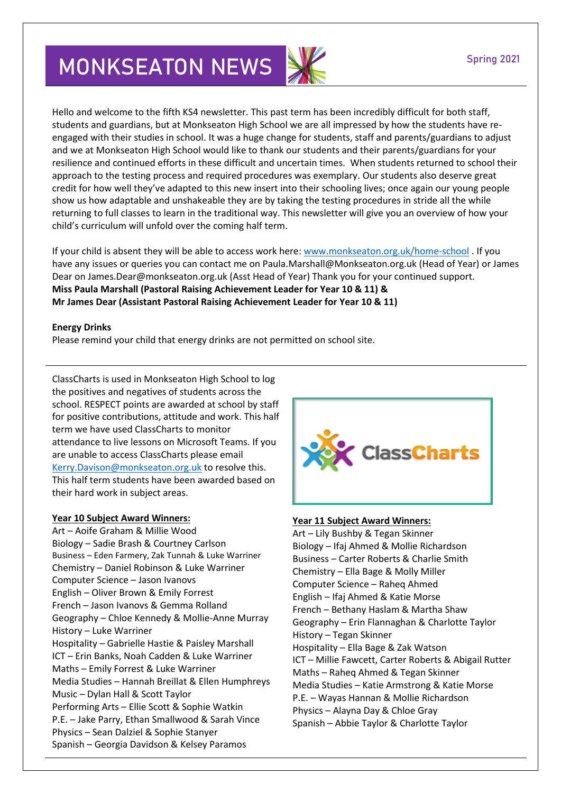# **MONKSEATON NEWS**

Hello and welcome to the fifth KS4 newsletter. This past term has been incredibly difficult for both staff, students and guardians, but at Monkseaton High School we are all impressed by how the students have reengaged with their studies in school. It was a huge change for students, staff and parents/guardians to adjust and we at Monkseaton High School would like to thank our students and their parents/guardians for your resilience and continued efforts in these difficult and uncertain times. When students returned to school their approach to the testing process and required procedures was exemplary. Our students also deserve great credit for how well they've adapted to this new insert into their schooling lives; once again our young people show us how adaptable and unshakeable they are by taking the testing procedures in stride all the while returning to full classes to learn in the traditional way. This newsletter will give you an overview of how your child's curriculum will unfold over the coming half term.

If your child is absent they will be able to access work here: [www.monkseaton.org.uk/home-school](http://www.monkseaton.org.uk/home-school). If you have any issues or queries you can contact me on Paula.Marshall@Monkseaton.org.uk (Head of Year) or James Dear on James.Dear@monkseaton.org.uk (Asst Head of Year) Thank you for your continued support. **Miss Paula Marshall (Pastoral Raising Achievement Leader for Year 10 & 11) & Mr James Dear (Assistant Pastoral Raising Achievement Leader for Year 10 & 11)**

### **Energy Drinks**

Please remind your child that energy drinks are not permitted on school site.

ClassCharts is used in Monkseaton High School to log the positives and negatives of students across the school. RESPECT points are awarded at school by staff for positive contributions, attitude and work. This half term we have used ClassCharts to monitor attendance to live lessons on Microsoft Teams. If you are unable to access ClassCharts please email [Kerry.Davison@monkseaton.org.uk](mailto:Kerry.Davison@monkseaton.org.uk) to resolve this. This half term students have been awarded based on their hard work in subject areas.

### **Year 10 Subject Award Winners:**

Art – Aoife Graham & Millie Wood Biology – Sadie Brash & Courtney Carlson Business – Eden Farmery, Zak Tunnah & Luke Warriner Chemistry – Daniel Robinson & Luke Warriner Computer Science – Jason Ivanovs English – Oliver Brown & Emily Forrest French – Jason Ivanovs & Gemma Rolland Geography – Chloe Kennedy & Mollie-Anne Murray History – Luke Warriner Hospitality – Gabrielle Hastie & Paisley Marshall ICT – Erin Banks, Noah Cadden & Luke Warriner Maths – Emily Forrest & Luke Warriner Media Studies – Hannah Breillat & Ellen Humphreys Music – Dylan Hall & Scott Taylor Performing Arts – Ellie Scott & Sophie Watkin P.E. – Jake Parry, Ethan Smallwood & Sarah Vince Physics – Sean Dalziel & Sophie Stanyer Spanish – Georgia Davidson & Kelsey Paramos



### **Year 11 Subject Award Winners:**

Art – Lily Bushby & Tegan Skinner Biology – Ifaj Ahmed & Mollie Richardson Business – Carter Roberts & Charlie Smith Chemistry – Ella Bage & Molly Miller Computer Science – Raheq Ahmed English – Ifaj Ahmed & Katie Morse French – Bethany Haslam & Martha Shaw Geography – Erin Flannaghan & Charlotte Taylor History – Tegan Skinner Hospitality – Ella Bage & Zak Watson ICT – Millie Fawcett, Carter Roberts & Abigail Rutter Maths – Raheq Ahmed & Tegan Skinner Media Studies – Katie Armstrong & Katie Morse P.E. – Wayas Hannan & Mollie Richardson Physics – Alayna Day & Chloe Gray Spanish – Abbie Taylor & Charlotte Taylor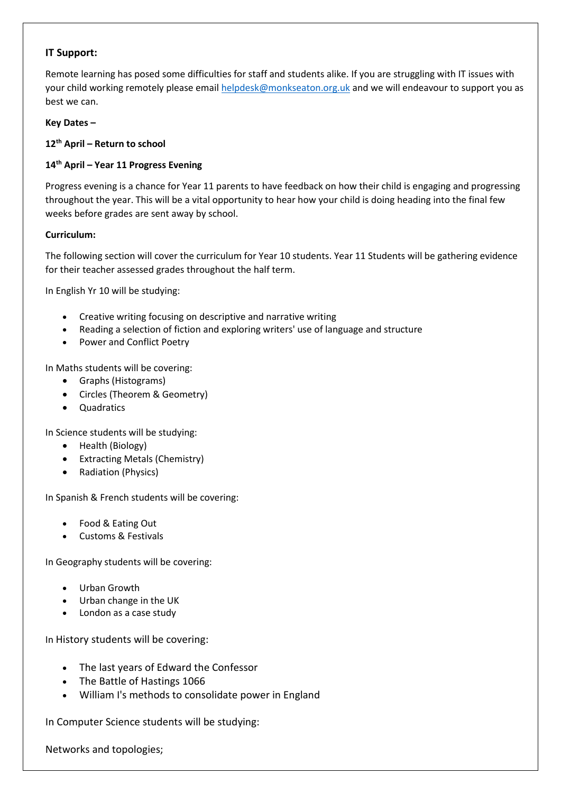# **IT Support:**

Remote learning has posed some difficulties for staff and students alike. If you are struggling with IT issues with your child working remotely please emai[l helpdesk@monkseaton.org.uk](mailto:helpdesk@monkseaton.org.uk) and we will endeavour to support you as best we can.

## **Key Dates –**

## **12th April – Return to school**

# **14th April – Year 11 Progress Evening**

Progress evening is a chance for Year 11 parents to have feedback on how their child is engaging and progressing throughout the year. This will be a vital opportunity to hear how your child is doing heading into the final few weeks before grades are sent away by school.

## **Curriculum:**

The following section will cover the curriculum for Year 10 students. Year 11 Students will be gathering evidence for their teacher assessed grades throughout the half term.

In English Yr 10 will be studying:

- Creative writing focusing on descriptive and narrative writing
- Reading a selection of fiction and exploring writers' use of language and structure
- Power and Conflict Poetry

In Maths students will be covering:

- Graphs (Histograms)
- Circles (Theorem & Geometry)
- Quadratics

In Science students will be studying:

- Health (Biology)
- Extracting Metals (Chemistry)
- Radiation (Physics)

In Spanish & French students will be covering:

- Food & Eating Out
- Customs & Festivals

In Geography students will be covering:

- Urban Growth
- Urban change in the UK
- London as a case study

In History students will be covering:

- The last years of Edward the Confessor
- The Battle of Hastings 1066
- William I's methods to consolidate power in England

In Computer Science students will be studying:

Networks and topologies;